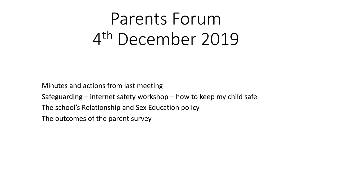# Parents Forum 4 th December 2019

Minutes and actions from last meeting

Safeguarding – internet safety workshop – how to keep my child safe

The school's Relationship and Sex Education policy

The outcomes of the parent survey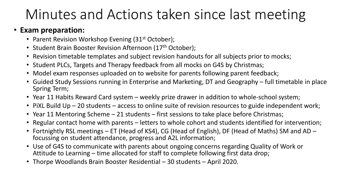# Minutes and Actions taken since last meeting

#### • **Exam preparation:**

- Parent Revision Workshop Evening (31<sup>st</sup> October);
- Student Brain Booster Revision Afternoon (17<sup>th</sup> October);
- Revision timetable templates and subject revision handouts for all subjects prior to mocks;
- Student PLCs, Targets and Therapy feedback from all mocks on G4S by Christmas;
- Model exam responses uploaded on to website for parents following parent feedback;
- Guided Study Sessions running in Enterprise and Marketing, DT and Geography full timetable in place Spring Term;
- Year 11 Habits Reward Card system weekly prize drawer in addition to whole-school system;
- PiXL Build Up 20 students access to online suite of revision resources to guide independent work;
- Year 11 Mentoring Scheme 21 students first sessions to take place before Christmas;
- Regular contact home with parents letters to whole cohort and students identified for intervention;
- Fortnightly RSL meetings ET (Head of KS4), CG (Head of English), DF (Head of Maths) SM and AD focussing on student attendance, progress and A2L information;
- Use of G4S to communicate with parents about ongoing concerns regarding Quality of Work or Attitude to Learning – time allocated for staff to complete following first data drop;
- Thorpe Woodlands Brain Booster Residential 30 students April 2020.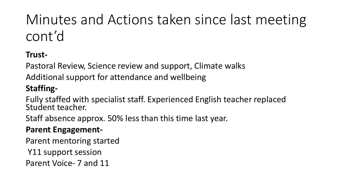# Minutes and Actions taken since last meeting cont'd

## **Trust-**

Pastoral Review, Science review and support, Climate walks

Additional support for attendance and wellbeing

## **Staffing-**

Fully staffed with specialist staff. Experienced English teacher replaced Student teacher.

Staff absence approx. 50% less than this time last year.

#### **Parent Engagement-**

Parent mentoring started

Y11 support session

Parent Voice- 7 and 11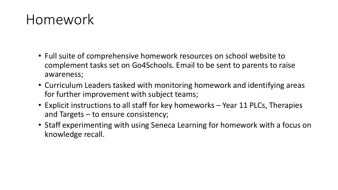## Homework

- Full suite of comprehensive homework resources on school website to complement tasks set on Go4Schools. Email to be sent to parents to raise awareness;
- Curriculum Leaders tasked with monitoring homework and identifying areas for further improvement with subject teams;
- Explicit instructions to all staff for key homeworks Year 11 PLCs, Therapies and Targets – to ensure consistency;
- Staff experimenting with using Seneca Learning for homework with a focus on knowledge recall.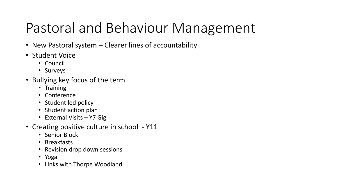# Pastoral and Behaviour Management

- New Pastoral system Clearer lines of accountability
- Student Voice
	- Council
	- Surveys
- Bullying key focus of the term
	- Training
	- Conference
	- Student led policy
	- Student action plan
	- External Visits Y7 Gig
- Creating positive culture in school Y11
	- Senior Block
	- Breakfasts
	- Revision drop down sessions
	- Yoga
	- Links with Thorpe Woodland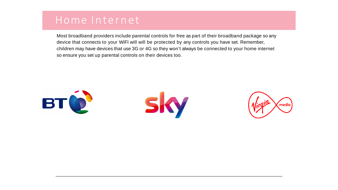## Home Internet

Most broadband providers include parental controls for free as part of their broadband package so any device that connects to your WiFI will will be protected by any controls you have set. Remember, children may have devices that use 3G or 4G so they won't always be connected to your home internet so ensure you set up parental controls on their devices too.

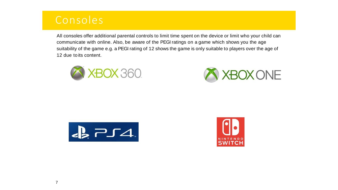## Consoles

All consoles offer additional parental controls to limit time spent on the device or limit who your child can communicate with online. Also, be aware of the PEGI ratings on a game which shows you the age suitability of the game e.g. a PEGI rating of 12 shows the game is only suitable to players over the age of 12 due to its content.







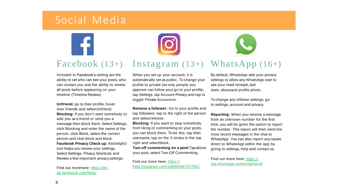## Social Media



#### Facebook (13+) Instagram (13+) WhatsApp (16+)

Included in Facebook's setting are the ability to set who can see your posts, who can contact you and the ability to review all posts before appearing on your timeline (Timeline Review).

**Unfriend:** go to their profile, hover over Friends and selectUnfriend. **Blocking:** If you don't want somebody to add you as a friend or send you a message then block them. Select Settings, click Blocking and enter the name of the person, click Block, select the correct person and click block and block. **Facebook Privacy Check up:** thishelpful tool helps you review your settings. Select Settings, Privacy Shortcuts and Review a few important privacysettings.

Find out morehere: https://engb.facebook.com/help/

When you set up your account, it is automatically set as public. To change your profile to private (so only people you approve can follow you) go to your profile, tap Settings, tap Account Privacy and tap to toggle Private Accounton.

**Remove a follower:** Go to your profile and tap followers, tap to the right of the person and select remove.

**Blocking:** If you want to stop somebody from liking or commenting on your posts, you can block them. To do this, tap their username, tap on the 3 circles in the top right and selectblock.

**Turn off commenting on a post:**Tapabove your post, select Turn Off Commenting.

Find out more here: https:// help.instagram.com/196883487377501 By default, WhatsApp sets your privacy settings to allow any WhatsApp user to see your read receipts,last seen, aboutand profile photo.

To change any ofthese settings, go to settings, account and privacy.

**Reporting:** When you receive a message from an unknown number for the first time, you will be given the option to report the number. This report will then send the most recent messages in the chat to WhatsApp. You can also report any issues direct to WhatsApp within the app by going to settings, help and contact us.

Find out more here: https:// faq.whatsapp.com/en/general/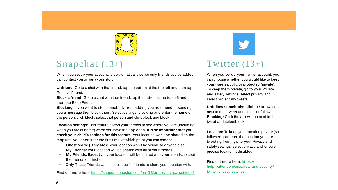

#### Snapchat (13+)

When you set up your account, it is automatically set so only friends you've added can contact you or view your story.

**Unfriend:** Go to a chat with that friend, tap the button at the top left and then tap Remove Friend.

**Block a friend:** Go to a chat with that friend, tap the button at the top left and then tap BlockFriend.

**Blocking:** If you want to stop somebody from adding you as a friend or sending you a message then block them. Select settings, blocking and enter the name of the person, click block, select that person and click block and block.

**Location settings**: This feature allows your friends to see where you are (including when you are at home) when you have the app open. **It is so important that you check your child's settings for this feature**. Your location won't be shared on the map until you open it for the first time, at which point you can choose:

- **Ghost Mode (Only Me):** your location won't be visible to anyone else.
- **My Friends:** your location will be shared with all of your friends
- **My Friends, Except …:** your location will be shared with your friends, except the friends on thislist.
- **Only These Friends …:** choose specific friends to share your location with.

Find out more here:https://support.snapchat.com/en-GB/article/privacy-settings2

#### Twitter (13+)

When you set up your Twitter account, you can choose whether you would like to keep your tweets public or protected (private). To keep them private, go to your Privacy and safety settings, select privacy and select protect my tweets,

**Unfollow somebody:** Click the arrow icon next to their tweet and select unfollow. **Blocking:** Click the arrow icon next to their tweet and selectblock.

**Location:** To keep your location private (so followers can't see the location you are tweeting from), go to your Privacy and safety settings, select privacy and ensure precise location isdisabled.

Find out more here: https:// help.twitter.com/en/safety-and-security/ twitter-privacy-settings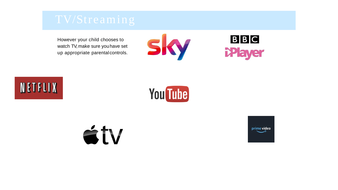

However your child chooses to watch TV, make sure youhave set up appropriate parentalcontrols.











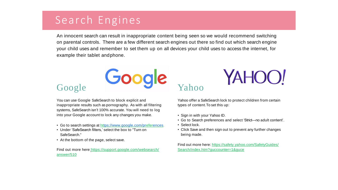## Search Engines

An innocent search can result in inappropriate content being seen so we would recommend switching on parental controls. There are a few different search engines out there so find out which search engine your child uses and remember to set them up on all devices your child uses to access the internet, for example their tablet andphone.

#### Google

You can use Google SafeSearch to block explicit and inappropriate results such as pornography. As with all filtering systems, SafeSearch isn't 100% accurate. You will need to log into your Google account to lock any changes you make.

Google

- Go to search settings at h[ttps://www.google.com/pr](http://www.google.com/preferences)efe[rences](http://www.google.com/preferences).
- Under 'SafeSearch filters,' select the box to "Turn on SafeSearch."
- At the bottom of the page, select save.

Find out more here:https://support.google.com/websearch/ answer/510

# Yahoo

Yahoo offer a SafeSearch lock to protect children from certain types of content.To set this up:

YAHOO!

- Sign in with your Yahoo ID.
- Go to Search preferences and select 'Strict—no adult content'.
- Select lock.
- Click Save and then sign out to prevent any further changes being made.

Find out more here: https://safety.yahoo.com/SafetyGuides/ Search/index.htm?guccounter=1&guce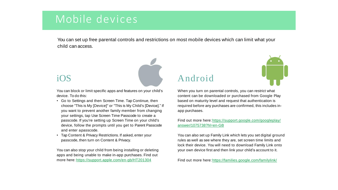## Mobile devices

You can set up free parental controls and restrictions on most mobile devices which can limit what your child can access.

#### $iOS$

You can block or limit specific apps and features on your child's device. To do this:

- Go to Settings and then Screen Time. Tap Continue, then choose "This is My [Device]" or "This is My Child's [Device]." If you want to prevent another family member from changing your settings, tap Use Screen Time Passcode to create a passcode. If you're setting up Screen Time on your child's device, follow the prompts until you get to Parent Passcode and enter apasscode.
- Tap Content & Privacy Restrictions. If asked, enter your passcode, then turn on Content & Privacy.

You can also stop your child from being installing or deleting apps and being unable to make in-app purchases. Find out more here: https://support.apple.com/en-gb/HT201304

## Android



When you turn on parental controls, you can restrict what content can be downloaded or purchased from Google Play based on maturity level and request that authentication is required before any purchases are confirmed, this includes inapp purchases.

Find out more here:https://support.google.com/googleplay/ answer/1075738?hl=en-GB

You can also set up Family Link which lets you set digital ground rules as well as see where they are, set screen time limits and lock their device. You will need to download Family Link onto your own device first and then link your child's account to it.

Find out more here:https://families.google.com/familylink/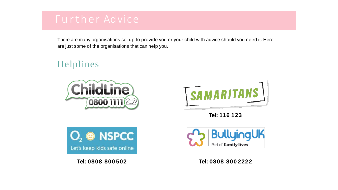Helplines

There are many organisations set up to provide you or your child with advice should you need it. Here are just some of the organisations that can help you.





**Tel: 116 123**





**Tel: 0808 800 502 Tel: 0808 800 2222**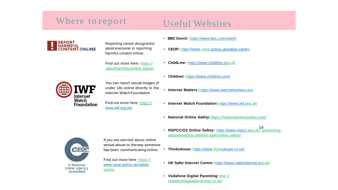#### Where to report

#### Useful Websites

• **BBC Ownit:** ht[tps://www.bbc.com/ownit](http://www.bbc.com/ownit)



Reporting centre designedto assist everyone in reporting harmful content online.

Find out more here: https:// reportharmfulcontent.online/

- **CEOP:** ht[tps://www](http://www.ceop.police.uk/safety-centre).ceo[p.police.uk/safety-centr](http://www.ceop.police.uk/safety-centre)e
	- **ChildLine:** h[ttps://www.childline.org](http://www.childline.org.uk/).uk/
	- **Childnet:** h[ttps://www.childnet.com/](http://www.childnet.com/)



You can report sexual images of under 18s online directly to the Internet Watch Foundation.

Find out more here: https:// [www.iwf.org.uk/](http://www.iwf.org.uk/)

- **Internet Matters:** ht[tps://www.internetmatters.org](http://www.internetmatters.org/)
- **Internet Watch Foundation:**h[ttps://www.iwf.org](http://www.iwf.org.uk/).uk/
- **National Online Safety:**https://nationalonlinesafety.com/
- 14 **NSPCC/O2 Online Safety:** ht[tps://www.nspcc.or](http://www.nspcc.org.uk/)g.uk/ preventingabuse/keeping-children-safe/online-safety/
- **Thinkuknow:** h[ttps://www.](http://www.thinkuknow.co.uk/)thin[kuknow.co.uk/](http://www.thinkuknow.co.uk/)

CEOR A National

Crime Agency command

If you are worried about online sexual abuse or theway someone has been communicating online.

Find out more here: https:// [www.ceop.police.uk/safety](http://www.ceop.police.uk/safety-)centre

- **UK Safer Internet Centre:** ht[tps://www.saferinternet.org](http://www.saferinternet.org.uk/).uk/
- **Vodafone Digital Parenting:**http:// vodafonedigitalparenting.co.uk/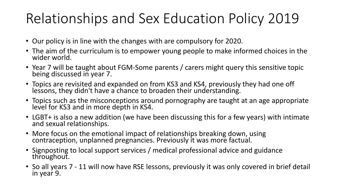# Relationships and Sex Education Policy 2019

- Our policy is in line with the changes with are compulsory for 2020.
- The aim of the curriculum is to empower young people to make informed choices in the wider world.
- Year 7 will be taught about FGM-Some parents / carers might query this sensitive topic being discussed in year 7.
- Topics are revisited and expanded on from KS3 and KS4, previously they had one off lessons, they didn't have a chance to broaden their understanding.
- Topics such as the misconceptions around pornography are taught at an age appropriate level for KS3 and in more depth in KS4.
- LGBT+ is also a new addition (we have been discussing this for a few years) with intimate and sexual relationships.
- More focus on the emotional impact of relationships breaking down, using contraception, unplanned pregnancies. Previously it was more factual.
- Signposting to local support services / medical professional advice and guidance throughout.
- So all years 7 11 will now have RSE lessons, previously it was only covered in brief detail in year 9.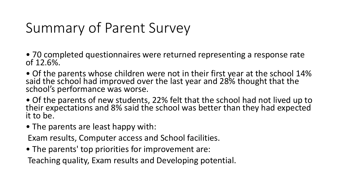# Summary of Parent Survey

- 70 completed questionnaires were returned representing a response rate of 12.6%.
- Of the parents whose children were not in their first year at the school 14% said the school had improved over the last year and 28% thought that the school's performance was worse.
- Of the parents of new students, 22% felt that the school had not lived up to their expectations and 8% said the school was better than they had expected it to be.
- The parents are least happy with:

Exam results, Computer access and School facilities.

• The parents' top priorities for improvement are:

Teaching quality, Exam results and Developing potential.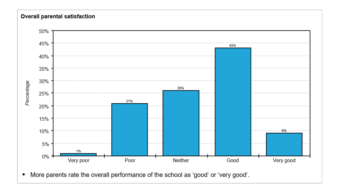#### Overall parental satisfaction



More parents rate the overall performance of the school as 'good' or 'very good'.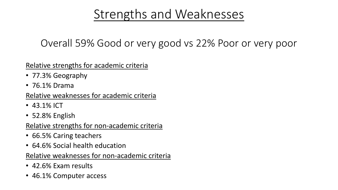## Strengths and Weaknesses

## Overall 59% Good or very good vs 22% Poor or very poor

#### Relative strengths for academic criteria

- 77.3% Geography
- 76.1% Drama

#### Relative weaknesses for academic criteria

- 43.1% ICT
- 52.8% English

#### Relative strengths for non-academic criteria

- 66.5% Caring teachers
- 64.6% Social health education

#### Relative weaknesses for non-academic criteria

- 42.6% Exam results
- 46.1% Computer access